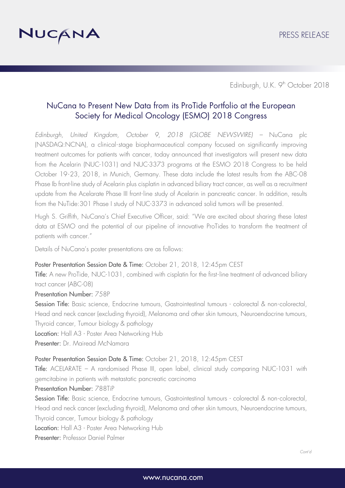

Edinburgh, U.K. 9<sup>th</sup> October 2018

# NuCana to Present New Data from its ProTide Portfolio at the European Society for Medical Oncology (ESMO) 2018 Congress

*Edinburgh, United Kingdom, October 9, 2018 (GLOBE NEWSWIRE) –* NuCana plc (NASDAQ:NCNA), a clinical -stage biopharmaceutical company focused on significantly improving treatment outcomes for patients with cancer, today announced that investigators will present new data from the Acelarin (NUC-1031) and NUC-3373 programs at the ESMO 2018 Congress to be held October 19-23, 2018, in Munich, Germany. These data include the latest results from the ABC-08 Phase Ib front-line study of Acelarin plus cisplatin in advanced biliary tract cancer, as well as a recruitment update from the Acelarate Phase III front-line study of Acelarin in pancreatic cancer. In addition, results from the NuTide:301 Phase I study of NUC-3373 in advanced solid tumors will be presented.

Hugh S. Griffith, NuCana's Chief Executive Officer, said: "We are excited about sharing these latest data at ESMO and the potential of our pipeline of innovative ProTides to transform the treatment of patients with cancer."

Details of NuCana's poster presentations are as follows:

### Poster Presentation Session Date & Time: October 21, 2018, 12:45pm CEST

Title: A new ProTide, NUC-1031, combined with cisplatin for the first-line treatment of advanced biliary tract cancer (ABC-08)

### Presentation Number: 758P

Session Title: Basic science, Endocrine tumours, Gastrointestinal tumours - colorectal & non-colorectal, Head and neck cancer (excluding thyroid), Melanoma and other skin tumours, Neuroendocrine tumours, Thyroid cancer, Tumour biology & pathology

Location: Hall A3 - Poster Area Networking Hub

Presenter: Dr. Mairead McNamara

#### Poster Presentation Session Date & Time: October 21, 2018, 12:45pm CEST

Title: ACELARATE – A randomised Phase III, open label, clinical study comparing NUC-1031 with gemcitabine in patients with metastatic pancreatic carcinoma

### Presentation Number: 788TiP

Session Title: Basic science, Endocrine tumours, Gastrointestinal tumours - colorectal & non-colorectal, Head and neck cancer (excluding thyroid), Melanoma and other skin tumours, Neuroendocrine tumours, Thyroid cancer, Tumour biology & pathology

Location: Hall A3 - Poster Area Networking Hub

Presenter: Professor Daniel Palmer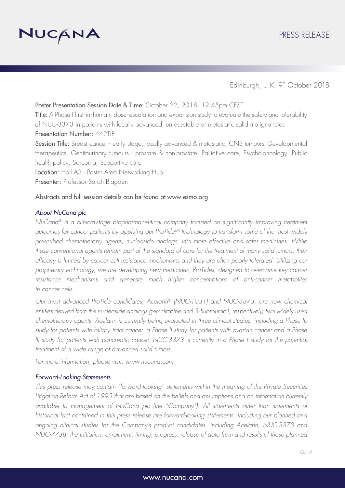

Edinburgh, U.K. 9<sup>th</sup> October 2018

## Poster Presentation Session Date & Time: October 22, 2018, 12:45pm CEST

Title: A Phase I first-in-human, dose-escalation and expansion study to evaluate the safety and tolerability of NUC-3373 in patients with locally advanced, unresectable or metastatic solid malignancies Presentation Number: 442TiP

Session Title: Breast cancer - early stage, locally advanced & metastatic, CNS tumours, Developmental therapeutics, Genitourinary tumours - prostate & non-prostate, Palliative care, Psycho-oncology, Public health policy, Sarcoma, Supportive care

Location: Hall A3 - Poster Area Networking Hub

Presenter: Professor Sarah Blagden

### Abstracts and full session details can be found at www.esmo.org

### *About NuCana plc*

*NuCana® is a clinical-stage biopharmaceutical company focused on significantly improving treatment*  outcomes for cancer patients by applying our ProTide<sup>TM</sup> technology to transform some of the most widely *prescribed chemotherapy agents, nucleoside analogs, into more effective and safer medicines. While*  these conventional agents remain part of the standard of care for the treatment of many solid tumors, their efficacy is limited by cancer cell resistance mechanisms and they are often poorly tolerated. Utilizing our *proprietary technology, we are developing new medicines, ProTides, designed to overcome key cancer resistance mechanisms and generate much higher concentrations of anti-cancer metabolites in cancer cells.* 

*Our most advanced ProTide candidates, Acelarin® (NUC-1031) and NUC-3373, are new chemical entities derived from the nucleoside analogs gemcitabine and 5-fluorouracil, respectively, two widely used chemotherapy agents. Acelarin is currently being evaluated in three clinical studies, including a Phase Ib study for patients with biliary tract cancer, a Phase II study for patients with ovarian cancer and a Phase III study for patients with pancreatic cancer. NUC-3373 is currently in a Phase I study for the potential treatment of a wide range of advanced solid tumors.* 

*For more information, please visit: www.nucana.com*

### *Forward-Looking Statements*

*This press release may contain "forward*‐*looking" statements within the meaning of the Private Securities Litigation Reform Act of 1995 that are based on the beliefs and assumptions and on information currently available to management of NuCana plc (the "Company"). All statements other than statements of historical fact contained in this press release are forward-looking statements, including our planned and ongoing clinical studies for the Company's product candidates, including Acelarin, NUC-3373 and NUC-7738; the initiation, enrollment, timing, progress, release of data from and results of those planned*